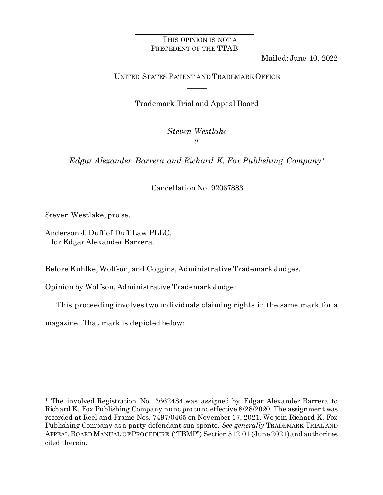### THIS OPINION IS NOT A PRECEDENT OF THE TTAB

Mailed: June 10, 2022

# UNITED STATES PATENT AND TRADEMARK OFFICE \_\_\_\_\_

Trademark Trial and Appeal Board \_\_\_\_\_

> *Steven Westlake v*.

*Edgar Alexander Barrera and Richard K. Fox Publishing Company[1](#page-0-0)* \_\_\_\_\_

> Cancellation No. 92067883 \_\_\_\_\_

Steven Westlake, pro se.

l

Anderson J. Duff of Duff Law PLLC, for Edgar Alexander Barrera.

Before Kuhlke, Wolfson, and Coggins, Administrative Trademark Judges.

Opinion by Wolfson, Administrative Trademark Judge:

This proceeding involves two individuals claiming rights in the same mark for a

\_\_\_\_\_

magazine. That mark is depicted below:

<span id="page-0-0"></span><sup>&</sup>lt;sup>1</sup> The involved Registration No. 3662484 was assigned by Edgar Alexander Barrera to Richard K. Fox Publishing Company nunc pro tunc effective 8/28/2020. The assignment was recorded at Reel and Frame Nos. 7497/0465 on November 17, 2021. We join Richard K. Fox Publishing Company as a party defendant sua sponte. *See generally* TRADEMARK TRIAL AND APPEAL BOARD MANUAL OF PROCEDURE ("TBMP") Section 512.01 (June 2021) and authorities cited therein.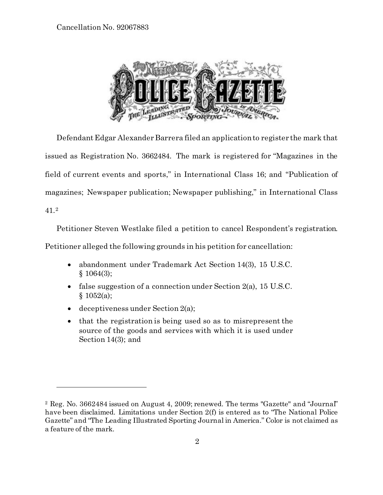

Defendant Edgar Alexander Barrera filed an application to register the mark that issued as Registration No. 3662484. The mark is registered for "Magazines in the field of current events and sports," in International Class 16; and "Publication of magazines; Newspaper publication; Newspaper publishing," in International Class 41.[2](#page-1-0)

Petitioner Steven Westlake filed a petition to cancel Respondent's registration.

Petitioner alleged the following grounds in his petition for cancellation:

- abandonment under Trademark Act Section 14(3), 15 U.S.C. § 1064(3);
- false suggestion of a connection under Section 2(a), 15 U.S.C.  $§ 1052(a);$
- deceptiveness under Section 2(a);

l

• that the registration is being used so as to misrepresent the source of the goods and services with which it is used under Section 14(3); and

<span id="page-1-0"></span><sup>2</sup> Reg. No. 3662484 issued on August 4, 2009; renewed. The terms "Gazette" and "Journal" have been disclaimed. Limitations under Section 2(f) is entered as to "The National Police Gazette" and "The Leading Illustrated Sporting Journal in America." Color is not claimed as a feature of the mark.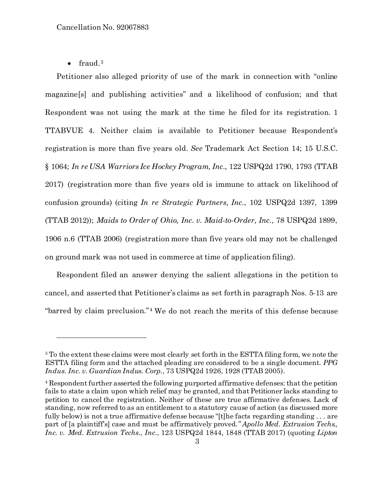• fraud. $3$ 

l

Petitioner also alleged priority of use of the mark in connection with "online magazine[s] and publishing activities" and a likelihood of confusion; and that Respondent was not using the mark at the time he filed for its registration. 1 TTABVUE 4. Neither claim is available to Petitioner because Respondent's registration is more than five years old. *See* Trademark Act Section 14; 15 U.S.C. § 1064; *In re USA Warriors Ice Hockey Program, Inc.,* 122 USPQ2d 1790, 1793 (TTAB 2017) (registration more than five years old is immune to attack on likelihood of confusion grounds) (citing *In re Strategic Partners, Inc.*, 102 USPQ2d 1397, 1399 (TTAB 2012)); *Maids to Order of Ohio, Inc. v. Maid-to-Order, Inc.*, 78 USPQ2d 1899, 1906 n.6 (TTAB 2006) (registration more than five years old may not be challenged on ground mark was not used in commerce at time of application filing).

Respondent filed an answer denying the salient allegations in the petition to cancel, and asserted that Petitioner's claims as set forth in paragraph Nos. 5-13 are "barred by claim preclusion."[4](#page-2-1) We do not reach the merits of this defense because

<span id="page-2-0"></span><sup>&</sup>lt;sup>3</sup> To the extent these claims were most clearly set forth in the ESTTA filing form, we note the ESTTA filing form and the attached pleading are considered to be a single document. *PPG Indus. Inc. v. Guardian Indus. Corp.*, 73 USPQ2d 1926, 1928 (TTAB 2005).

<span id="page-2-1"></span><sup>4</sup> Respondent further asserted the following purported affirmative defenses: that the petition fails to state a claim upon which relief may be granted, and that Petitioner lacks standing to petition to cancel the registration. Neither of these are true affirmative defenses. Lack of standing, now referred to as an entitlement to a statutory cause of action (as discussed more fully below) is not a true affirmative defense because "[t]he facts regarding standing ... are part of [a plaintiff's] case and must be affirmatively proved*." Apollo Med. Extrusion Techs., Inc. v. Med. Extrusion Techs., Inc.*, 123 USPQ2d 1844, 1848 (TTAB 2017) (quoting *Lipton*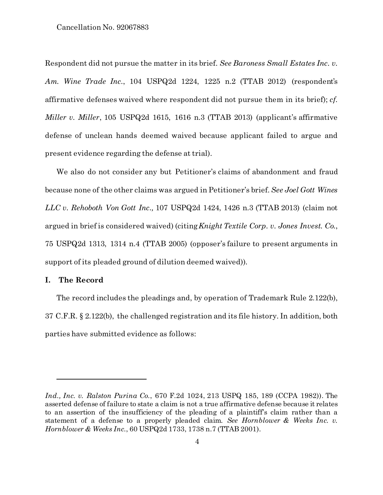Respondent did not pursue the matter in its brief. *See Baroness Small Estates Inc. v. Am. Wine Trade Inc.*, 104 USPQ2d 1224, 1225 n.2 (TTAB 2012) (respondent's affirmative defenses waived where respondent did not pursue them in its brief); *cf. Miller v. Miller*, 105 USPQ2d 1615, 1616 n.3 (TTAB 2013) (applicant's affirmative defense of unclean hands deemed waived because applicant failed to argue and present evidence regarding the defense at trial).

We also do not consider any but Petitioner's claims of abandonment and fraud because none of the other claims was argued in Petitioner's brief. *See Joel Gott Wines LLC v. Rehoboth Von Gott Inc.,* 107 USPQ2d 1424, 1426 n.3 (TTAB 2013) (claim not argued in brief is considered waived) (citing*Knight Textile Corp. v. Jones Invest. Co.*, 75 USPQ2d 1313, 1314 n.4 (TTAB 2005) (opposer's failure to present arguments in support of its pleaded ground of dilution deemed waived))*.* 

### **I. The Record**

l

The record includes the pleadings and, by operation of Trademark Rule 2.122(b), 37 C.F.R. § 2.122(b), the challenged registration and its file history. In addition, both parties have submitted evidence as follows:

*Ind., Inc. v. Ralston Purina Co.*, 670 F.2d 1024, 213 USPQ 185, 189 (CCPA 1982)). The asserted defense of failure to state a claim is not a true affirmative defense because it relates to an assertion of the insufficiency of the pleading of a plaintiff's claim rather than a statement of a defense to a properly pleaded claim*. See Hornblower & Weeks Inc. v. Hornblower & Weeks Inc.*, 60 USPQ2d 1733, 1738 n.7 (TTAB 2001).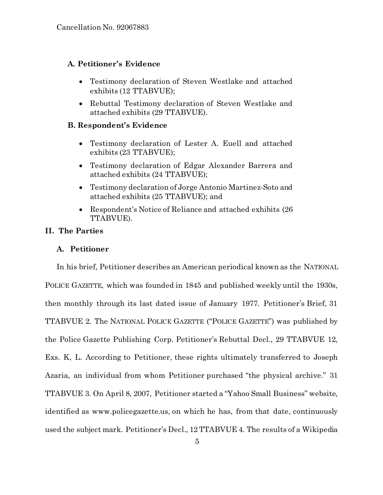# **A. Petitioner's Evidence**

- Testimony declaration of Steven Westlake and attached exhibits (12 TTABVUE);
- Rebuttal Testimony declaration of Steven Westlake and attached exhibits (29 TTABVUE).

# **B. Respondent's Evidence**

- Testimony declaration of Lester A. Euell and attached exhibits (23 TTABVUE);
- Testimony declaration of Edgar Alexander Barrera and attached exhibits (24 TTABVUE);
- Testimony declaration of Jorge Antonio Martinez-Soto and attached exhibits (25 TTABVUE); and
- Respondent's Notice of Reliance and attached exhibits (26) TTABVUE).

## **II. The Parties**

# **A. Petitioner**

In his brief, Petitioner describes an American periodical known as the NATIONAL POLICE GAZETTE, which was founded in 1845 and published weekly until the 1930s, then monthly through its last dated issue of January 1977. Petitioner's Brief, 31 TTABVUE 2. The NATIONAL POLICE GAZETTE ("POLICE GAZETTE") was published by the Police Gazette Publishing Corp. Petitioner's Rebuttal Decl., 29 TTABVUE 12, Exs. K, L. According to Petitioner, these rights ultimately transferred to Joseph Azaria, an individual from whom Petitioner purchased "the physical archive." 31 TTABVUE 3. On April 8, 2007, Petitioner started a "Yahoo Small Business" website, identified as www.policegazette.us, on which he has, from that date, continuously used the subject mark. Petitioner's Decl., 12 TTABVUE 4. The results of a Wikipedia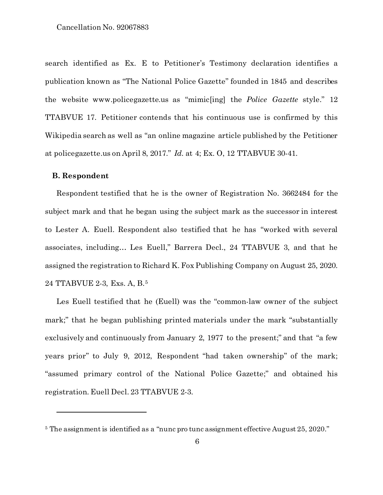search identified as Ex. E to Petitioner's Testimony declaration identifies a publication known as "The National Police Gazette" founded in 1845 and describes the website www.policegazette.us as "mimic[ing] the *Police Gazette* style." 12 TTABVUE 17. Petitioner contends that his continuous use is confirmed by this Wikipedia search as well as "an online magazine article published by the Petitioner at policegazette.us on April 8, 2017." *Id*. at 4; Ex. O, 12 TTABVUE 30-41.

### **B. Respondent**

l

Respondent testified that he is the owner of Registration No. 3662484 for the subject mark and that he began using the subject mark as the successor in interest to Lester A. Euell. Respondent also testified that he has "worked with several associates, including… Les Euell," Barrera Decl., 24 TTABVUE 3, and that he assigned the registration to Richard K. Fox Publishing Company on August 25, 2020. 24 TTABVUE 2-3, Exs. A, B.[5](#page-5-0)

Les Euell testified that he (Euell) was the "common-law owner of the subject mark;" that he began publishing printed materials under the mark "substantially exclusively and continuously from January 2, 1977 to the present;" and that "a few years prior" to July 9, 2012, Respondent "had taken ownership" of the mark; "assumed primary control of the National Police Gazette;" and obtained his registration. Euell Decl. 23 TTABVUE 2-3.

<span id="page-5-0"></span><sup>5</sup> The assignment is identified as a "nunc pro tunc assignment effective August 25, 2020."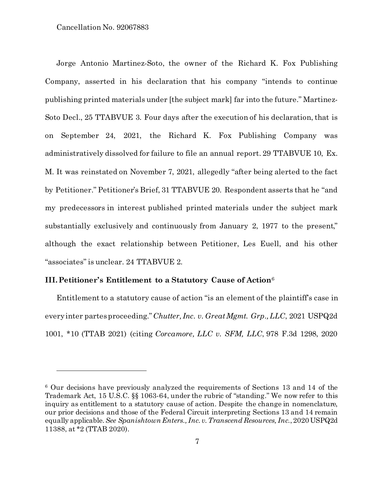l

Jorge Antonio Martinez-Soto, the owner of the Richard K. Fox Publishing Company, asserted in his declaration that his company "intends to continue publishing printed materials under [the subject mark] far into the future." Martinez-Soto Decl., 25 TTABVUE 3. Four days after the execution of his declaration, that is on September 24, 2021, the Richard K. Fox Publishing Company was administratively dissolved for failure to file an annual report. 29 TTABVUE 10, Ex. M. It was reinstated on November 7, 2021, allegedly "after being alerted to the fact by Petitioner." Petitioner's Brief, 31 TTABVUE 20. Respondent asserts that he "and my predecessors in interest published printed materials under the subject mark substantially exclusively and continuously from January 2, 1977 to the present," although the exact relationship between Petitioner, Les Euell, and his other "associates" is unclear. 24 TTABVUE 2.

## **III.Petitioner's Entitlement to a Statutory Cause of Action**[6](#page-6-0)

Entitlement to a statutory cause of action "is an element of the plaintiff's case in every inter partes proceeding."*Chutter, Inc. v. Great Mgmt. Grp., LLC*, 2021 USPQ2d 1001, \*10 (TTAB 2021) (citing *Corcamore, LLC v. SFM, LLC*, 978 F.3d 1298, 2020

<span id="page-6-0"></span><sup>6</sup> Our decisions have previously analyzed the requirements of Sections 13 and 14 of the Trademark Act, 15 U.S.C. §§ 1063-64, under the rubric of "standing." We now refer to this inquiry as entitlement to a statutory cause of action. Despite the change in nomenclature, our prior decisions and those of the Federal Circuit interpreting Sections 13 and 14 remain equally applicable.*See Spanishtown Enters., Inc. v. Transcend Resources, Inc.*, 2020 USPQ2d 11388, at \*2 (TTAB 2020).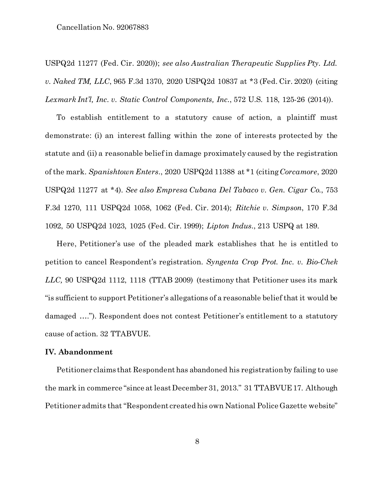USPQ2d 11277 (Fed. Cir. 2020)); *see also Australian Therapeutic Supplies Pty. Ltd. v. Naked TM, LLC*, 965 F.3d 1370, 2020 USPQ2d 10837 at \*3 (Fed. Cir. 2020) (citing *Lexmark Int'l, Inc. v. Static Control Components, Inc.*, 572 U.S. 118, 125-26 (2014)).

To establish entitlement to a statutory cause of action, a plaintiff must demonstrate: (i) an interest falling within the zone of interests protected by the statute and (ii) a reasonable belief in damage proximately caused by the registration of the mark. *Spanishtown Enters.*, 2020 USPQ2d 11388 at \*1 (citing*Corcamore*, 2020 USPQ2d 11277 at \*4). *See also Empresa Cubana Del Tabaco v. Gen. Cigar Co.*, 753 F.3d 1270, 111 USPQ2d 1058, 1062 (Fed. Cir. 2014); *Ritchie v. Simpson*, 170 F.3d 1092, 50 USPQ2d 1023, 1025 (Fed. Cir. 1999); *Lipton Indus.*, 213 USPQ at 189.

Here, Petitioner's use of the pleaded mark establishes that he is entitled to petition to cancel Respondent's registration. *Syngenta Crop Prot. Inc. v. Bio-Chek LLC,* 90 USPQ2d 1112, 1118 (TTAB 2009) (testimony that Petitioner uses its mark "is sufficient to support Petitioner's allegations of a reasonable belief that it would be damaged …."). Respondent does not contest Petitioner's entitlement to a statutory cause of action. 32 TTABVUE.

#### **IV. Abandonment**

Petitioner claims that Respondent has abandoned his registration by failing to use the mark in commerce "since at least December 31, 2013." 31 TTABVUE 17. Although Petitioner admits that "Respondent created his own National Police Gazette website"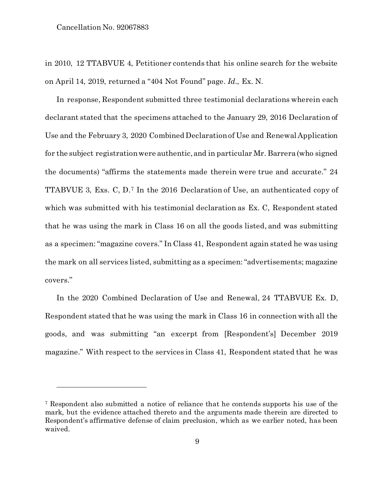l

in 2010, 12 TTABVUE 4, Petitioner contends that his online search for the website on April 14, 2019, returned a "404 Not Found" page. *Id*., Ex. N.

In response, Respondent submitted three testimonial declarations wherein each declarant stated that the specimens attached to the January 29, 2016 Declaration of Use and the February 3, 2020 Combined Declaration of Use and Renewal Application for the subject registration were authentic, and in particular Mr. Barrera (who signed the documents) "affirms the statements made therein were true and accurate." 24 TTABVUE 3, Exs. C, D.[7](#page-8-0) In the 2016 Declaration of Use, an authenticated copy of which was submitted with his testimonial declaration as Ex. C, Respondent stated that he was using the mark in Class 16 on all the goods listed, and was submitting as a specimen: "magazine covers." In Class 41, Respondent again stated he was using the mark on all services listed, submitting as a specimen:"advertisements; magazine covers."

In the 2020 Combined Declaration of Use and Renewal, 24 TTABVUE Ex. D, Respondent stated that he was using the mark in Class 16 in connection with all the goods, and was submitting "an excerpt from [Respondent's] December 2019 magazine." With respect to the services in Class 41, Respondent stated that he was

<span id="page-8-0"></span><sup>7</sup> Respondent also submitted a notice of reliance that he contends supports his use of the mark, but the evidence attached thereto and the arguments made therein are directed to Respondent's affirmative defense of claim preclusion, which as we earlier noted, has been waived.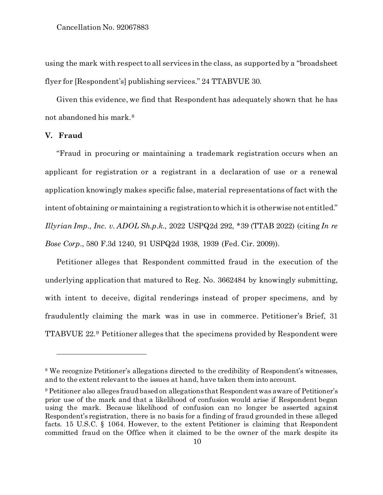using the mark with respect to all services in the class, as supported by a "broadsheet flyer for [Respondent's] publishing services." 24 TTABVUE 30.

Given this evidence, we find that Respondent has adequately shown that he has not abandoned his mark.[8](#page-9-0)

# **V. Fraud**

l

"Fraud in procuring or maintaining a trademark registration occurs when an applicant for registration or a registrant in a declaration of use or a renewal application knowingly makes specific false, material representations of fact with the intent of obtaining or maintaining a registration to which it is otherwise not entitled." *Illyrian Imp., Inc. v. ADOL Sh.p.k*., 2022 USPQ2d 292, \*39 (TTAB 2022) (citing *In re Bose Corp*., 580 F.3d 1240, 91 USPQ2d 1938, 1939 (Fed. Cir. 2009)).

Petitioner alleges that Respondent committed fraud in the execution of the underlying application that matured to Reg. No. 3662484 by knowingly submitting, with intent to deceive, digital renderings instead of proper specimens, and by fraudulently claiming the mark was in use in commerce. Petitioner's Brief, 31 TTABVUE 22.[9](#page-9-1) Petitioner alleges that the specimens provided by Respondent were

<span id="page-9-0"></span><sup>8</sup> We recognize Petitioner's allegations directed to the credibility of Respondent's witnesses, and to the extent relevant to the issues at hand, have taken them into account.

<span id="page-9-1"></span><sup>9</sup> Petitioner also alleges fraud based on allegations that Respondent was aware of Petitioner's prior use of the mark and that a likelihood of confusion would arise if Respondent began using the mark. Because likelihood of confusion can no longer be asserted against Respondent's registration, there is no basis for a finding of fraud grounded in these alleged facts. 15 U.S.C. § 1064. However, to the extent Petitioner is claiming that Respondent committed fraud on the Office when it claimed to be the owner of the mark despite its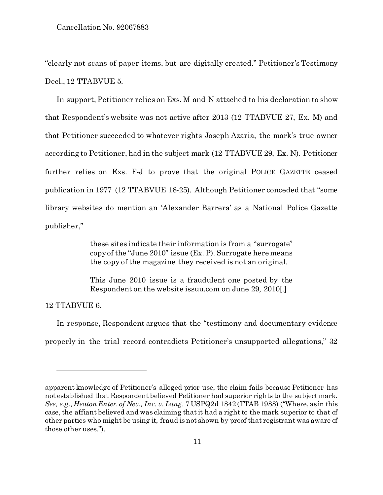"clearly not scans of paper items, but are digitally created." Petitioner's Testimony Decl., 12 TTABVUE 5.

In support, Petitioner relies on Exs. M and N attached to his declaration to show that Respondent's website was not active after 2013 (12 TTABVUE 27, Ex. M) and that Petitioner succeeded to whatever rights Joseph Azaria, the mark's true owner according to Petitioner, had in the subject mark (12 TTABVUE 29, Ex. N). Petitioner further relies on Exs. F-J to prove that the original POLICE GAZETTE ceased publication in 1977 (12 TTABVUE 18-25). Although Petitioner conceded that "some library websites do mention an 'Alexander Barrera' as a National Police Gazette publisher,"

> these sites indicate their information is from a "surrogate" copy of the "June 2010" issue (Ex. P). Surrogate here means the copy of the magazine they received is not an original.

> This June 2010 issue is a fraudulent one posted by the Respondent on the website issuu.com on June 29, 2010[.]

12 TTABVUE 6.

l

In response, Respondent argues that the "testimony and documentary evidence properly in the trial record contradicts Petitioner's unsupported allegations," 32

apparent knowledge of Petitioner's alleged prior use, the claim fails because Petitioner has not established that Respondent believed Petitioner had superior rights to the subject mark. *See, e.g., Heaton Enter. of Nev., Inc. v. Lang,* 7 USPQ2d 1842 (TTAB 1988) ("Where, as in this case, the affiant believed and was claiming that it had a right to the mark superior to that of other parties who might be using it, fraud is not shown by proof that registrant was aware of those other uses.").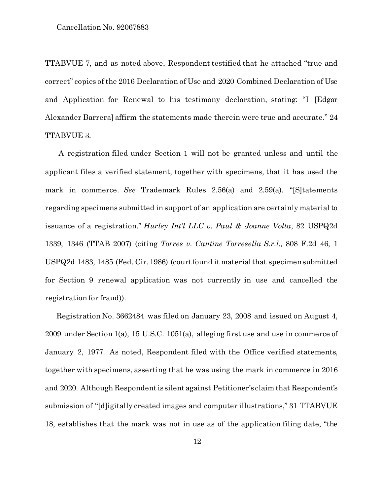TTABVUE 7, and as noted above, Respondent testified that he attached "true and correct" copies of the 2016 Declaration of Use and 2020 Combined Declaration of Use and Application for Renewal to his testimony declaration, stating: "I [Edgar Alexander Barrera] affirm the statements made therein were true and accurate." 24 TTABVUE 3.

A registration filed under Section 1 will not be granted unless and until the applicant files a verified statement, together with specimens, that it has used the mark in commerce. *See* Trademark Rules 2.56(a) and 2.59(a). "[S]tatements regarding specimens submitted in support of an application are certainly material to issuance of a registration." *Hurley Int'l LLC v. Paul & Joanne Volta*, 82 USPQ2d 1339, 1346 (TTAB 2007) (citing *Torres v. Cantine Torresella S.r.l.,* 808 F.2d 46, 1 USPQ2d 1483, 1485 (Fed. Cir. 1986) (court found it material that specimensubmitted for Section 9 renewal application was not currently in use and cancelled the registration for fraud)).

Registration No. 3662484 was filed on January 23, 2008 and issued on August 4, 2009 under Section 1(a), 15 U.S.C. 1051(a), alleging first use and use in commerce of January 2, 1977. As noted, Respondent filed with the Office verified statements, together with specimens, asserting that he was using the mark in commerce in 2016 and 2020. Although Respondent is silent against Petitioner's claim that Respondent's submission of "[d]igitally created images and computer illustrations," 31 TTABVUE 18, establishes that the mark was not in use as of the application filing date, "the